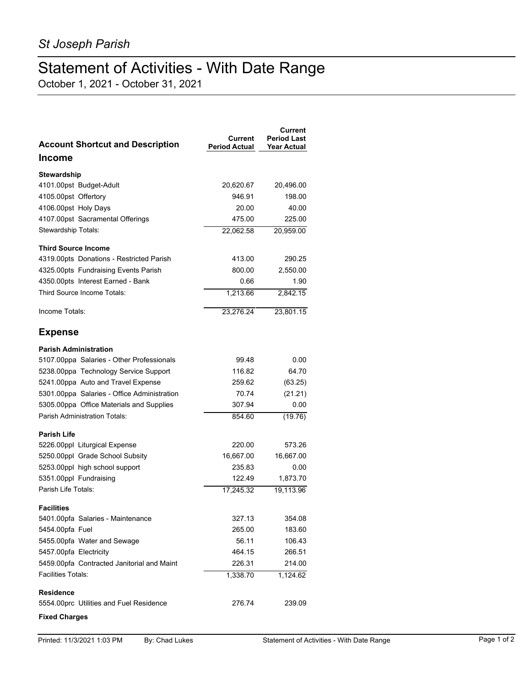## Statement of Activities - With Date Range

October 1, 2021 - October 31, 2021

| <b>Account Shortcut and Description</b>     | Current<br><b>Period Actual</b> | Current<br><b>Period Last</b><br><b>Year Actual</b> |
|---------------------------------------------|---------------------------------|-----------------------------------------------------|
| <b>Income</b>                               |                                 |                                                     |
| <b>Stewardship</b>                          |                                 |                                                     |
| 4101.00pst Budget-Adult                     | 20,620.67                       | 20,496.00                                           |
| 4105.00pst Offertory                        | 946.91                          | 198.00                                              |
| 4106.00pst Holy Days                        | 20.00                           | 40.00                                               |
| 4107.00pst Sacramental Offerings            | 475.00                          | 225.00                                              |
| Stewardship Totals:                         | 22,062.58                       | 20,959.00                                           |
| <b>Third Source Income</b>                  |                                 |                                                     |
| 4319.00pts Donations - Restricted Parish    | 413.00                          | 290.25                                              |
| 4325.00pts Fundraising Events Parish        | 800.00                          | 2,550.00                                            |
| 4350.00pts Interest Earned - Bank           | 0.66                            | 1.90                                                |
| Third Source Income Totals:                 | 1,213.66                        | 2,842.15                                            |
| Income Totals:                              | 23,276.24                       | 23.801.15                                           |
| <b>Expense</b>                              |                                 |                                                     |
| <b>Parish Administration</b>                |                                 |                                                     |
| 5107.00ppa Salaries - Other Professionals   | 99.48                           | 0.00                                                |
| 5238.00ppa Technology Service Support       | 116.82                          | 64.70                                               |
| 5241.00ppa Auto and Travel Expense          | 259.62                          | (63.25)                                             |
| 5301.00ppa Salaries - Office Administration | 70.74                           | (21.21)                                             |
| 5305.00ppa Office Materials and Supplies    | 307.94                          | 0.00                                                |
| <b>Parish Administration Totals:</b>        | 854.60                          | (19.76)                                             |
| <b>Parish Life</b>                          |                                 |                                                     |
| 5226.00ppl Liturgical Expense               | 220.00                          | 573.26                                              |
| 5250.00ppl Grade School Subsity             | 16,667.00                       | 16,667.00                                           |
| 5253.00ppl high school support              | 235.83                          | 0.00                                                |
| 5351.00ppl Fundraising                      | 122.49                          | 1,873.70                                            |
| Parish Life Totals:                         | 17.245.32                       | 19,113.96                                           |
| <b>Facilities</b>                           |                                 |                                                     |
| 5401.00pfa Salaries - Maintenance           | 327.13                          | 354.08                                              |
| 5454.00pfa Fuel                             | 265.00                          | 183.60                                              |
| 5455.00pfa Water and Sewage                 | 56.11                           | 106.43                                              |
| 5457.00pfa Electricity                      | 464.15                          | 266.51                                              |
| 5459.00pfa Contracted Janitorial and Maint  | 226.31                          | 214.00                                              |
| Facilities Totals:                          | 1,338.70                        | 1,124.62                                            |
| <b>Residence</b>                            |                                 |                                                     |
| 5554.00prc Utilities and Fuel Residence     | 276.74                          | 239.09                                              |
| <b>Fixed Charges</b>                        |                                 |                                                     |